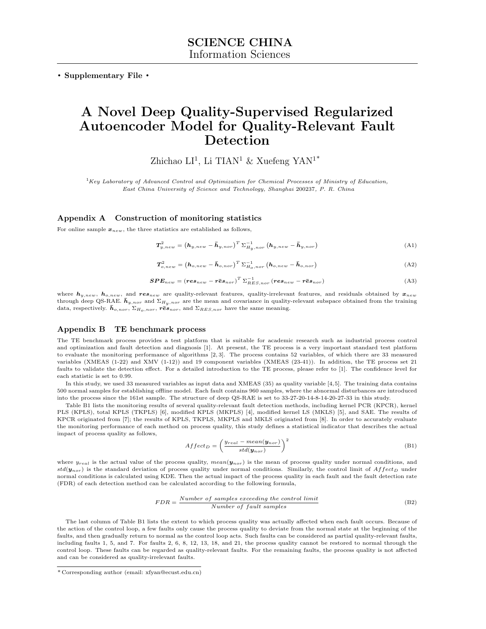. Supplementary File .

# A Novel Deep Quality-Supervised Regularized Autoencoder Model for Quality-Relevant Fault Detection

Zhichao LI<sup>1</sup>, Li TIAN<sup>1</sup> & Xuefeng YAN<sup>1\*</sup>

 ${}^{1}$ Key Laboratory of Advanced Control and Optimization for Chemical Processes of Ministry of Education, East China University of Science and Technology, Shanghai 200237, P. R. China

### Appendix A Construction of monitoring statistics

For online sample  $x_{new}$ , the three statistics are established as follows,

$$
T_{y,new}^2 = \left(\mathbf{h}_{y,new} - \bar{\mathbf{h}}_{y,nor}\right)^T \Sigma_{H_y,nor}^{-1} \left(\mathbf{h}_{y,new} - \bar{\mathbf{h}}_{y,nor}\right)
$$
(A1)

$$
T_{o,new}^2 = \left(\boldsymbol{h}_{o,new} - \boldsymbol{\bar{h}}_{o,nor}\right)^T \Sigma_{H_{o,nor}}^{-1} \left(\boldsymbol{h}_{o,new} - \boldsymbol{\bar{h}}_{o,nor}\right)
$$
(A2)

$$
SPE_{new} = (res_{new} - r\bar{e}s_{nor})^T \sum_{RES,nor}^{-1} (res_{new} - r\bar{e}s_{nor})
$$
\n(A3)

where  $h_{y,new}$ ,  $h_{o,new}$ , and  $res_{new}$  are quality-relevant features, quality-irrelevant features, and residuals obtained by  $x_{new}$ through deep QS-RAE.  $\bar{h}_{y,nor}$  and  $\Sigma_{H_y,nor}$  are the mean and covariance in quality-relevant subspace obtained from the training data, respectively.  $\bar{h}_{o,nor}$ ,  $\Sigma_{H_o,nor}$ ,  $r\bar{e}s_{nor}$ , and  $\Sigma_{RES,nor}$  have the same meaning.

#### Appendix B TE benchmark process

The TE benchmark process provides a test platform that is suitable for academic research such as industrial process control and optimization and fault detection and diagnosis [\[1\]](#page-3-0). At present, the TE process is a very important standard test platform to evaluate the monitoring performance of algorithms [\[2,](#page-3-1) [3\]](#page-3-2). The process contains 52 variables, of which there are 33 measured variables (XMEAS (1-22) and XMV (1-12)) and 19 component variables (XMEAS (23-41)). In addition, the TE process set 21 faults to validate the detection effect. For a detailed introduction to the TE process, please refer to [\[1\]](#page-3-0). The confidence level for each statistic is set to 0.99.

In this study, we used 33 measured variables as input data and XMEAS (35) as quality variable [\[4,](#page-3-3)[5\]](#page-3-4). The training data contains 500 normal samples for establishing offline model. Each fault contains 960 samples, where the abnormal disturbances are introduced into the process since the 161st sample. The structure of deep QS-RAE is set to 33-27-20-14-8-14-20-27-33 in this study.

Table B1 lists the monitoring results of several quality-relevant fault detection methods, including kernel PCR (KPCR), kernel PLS (KPLS), total KPLS (TKPLS) [\[6\]](#page-3-5), modified KPLS (MKPLS) [\[4\]](#page-3-3), modified kernel LS (MKLS) [\[5\]](#page-3-4), and SAE. The results of KPCR originated from [\[7\]](#page-3-6); the results of KPLS, TKPLS, MKPLS and MKLS originated from [\[8\]](#page-3-7). In order to accurately evaluate the monitoring performance of each method on process quality, this study defines a statistical indicator that describes the actual impact of process quality as follows,

$$
After_{D} = \left(\frac{y_{real} - mean(y_{nor})}{std(y_{nor})}\right)^{2}
$$
\n(B1)

where  $y_{real}$  is the actual value of the process quality,  $mean(y_{nor})$  is the mean of process quality under normal conditions, and  $std(\boldsymbol{y}_{nor})$  is the standard deviation of process quality under normal conditions. Similarly, the control limit of  $Affect_D$  under normal conditions is calculated using KDE. Then the actual impact of the process quality in each fault and the fault detection rate (FDR) of each detection method can be calculated according to the following formula,

$$
FDR = \frac{Number\ of\ samples\ exceeding\ the\ control\ limit}{Number\ of\ fault\ samples}
$$
 (B2)

The last column of Table B1 lists the extent to which process quality was actually affected when each fault occurs. Because of the action of the control loop, a few faults only cause the process quality to deviate from the normal state at the beginning of the faults, and then gradually return to normal as the control loop acts. Such faults can be considered as partial quality-relevant faults, including faults 1, 5, and 7. For faults 2, 6, 8, 12, 13, 18, and 21, the process quality cannot be restored to normal through the control loop. These faults can be regarded as quality-relevant faults. For the remaining faults, the process quality is not affected and can be considered as quality-irrelevant faults.

<sup>\*</sup> Corresponding author (email: xfyan@ecust.edu.cn)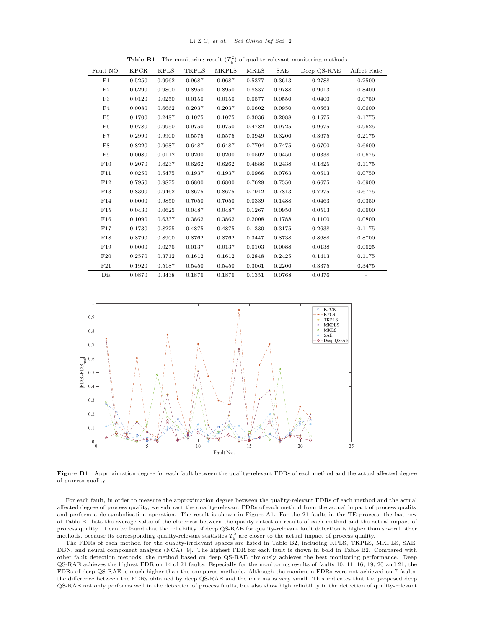**Table B1** The monitoring result  $(T_y^2)$  of quality-relevant monitoring methods

| Fault NO. | <b>KPCR</b> | <b>KPLS</b> | TKPLS  | MKPLS  | MKLS   | SAE    | Deep QS-RAE | Affect Rate    |
|-----------|-------------|-------------|--------|--------|--------|--------|-------------|----------------|
| F1        | 0.5250      | 0.9962      | 0.9687 | 0.9687 | 0.5377 | 0.3613 | 0.2788      | 0.2500         |
| F2        | 0.6290      | 0.9800      | 0.8950 | 0.8950 | 0.8837 | 0.9788 | 0.9013      | 0.8400         |
| F3        | 0.0120      | 0.0250      | 0.0150 | 0.0150 | 0.0577 | 0.0550 | 0.0400      | 0.0750         |
| F4        | 0.0080      | 0.6662      | 0.2037 | 0.2037 | 0.0602 | 0.0950 | 0.0563      | 0.0600         |
| F5        | 0.1700      | 0.2487      | 0.1075 | 0.1075 | 0.3036 | 0.2088 | 0.1575      | 0.1775         |
| F6        | 0.9780      | 0.9950      | 0.9750 | 0.9750 | 0.4782 | 0.9725 | 0.9675      | 0.9625         |
| F7        | 0.2990      | 0.9900      | 0.5575 | 0.5575 | 0.3949 | 0.3200 | 0.3675      | 0.2175         |
| F8        | 0.8220      | 0.9687      | 0.6487 | 0.6487 | 0.7704 | 0.7475 | 0.6700      | 0.6600         |
| F9        | 0.0080      | 0.0112      | 0.0200 | 0.0200 | 0.0502 | 0.0450 | 0.0338      | 0.0675         |
| F10       | 0.2070      | 0.8237      | 0.6262 | 0.6262 | 0.4886 | 0.2438 | 0.1825      | 0.1175         |
| F11       | 0.0250      | 0.5475      | 0.1937 | 0.1937 | 0.0966 | 0.0763 | 0.0513      | 0.0750         |
| F12       | 0.7950      | 0.9875      | 0.6800 | 0.6800 | 0.7629 | 0.7550 | 0.6675      | 0.6900         |
| F13       | 0.8300      | 0.9462      | 0.8675 | 0.8675 | 0.7942 | 0.7813 | 0.7275      | 0.6775         |
| F14       | 0.0000      | 0.9850      | 0.7050 | 0.7050 | 0.0339 | 0.1488 | 0.0463      | 0.0350         |
| F15       | 0.0430      | 0.0625      | 0.0487 | 0.0487 | 0.1267 | 0.0950 | 0.0513      | 0.0600         |
| F16       | 0.1090      | 0.6337      | 0.3862 | 0.3862 | 0.2008 | 0.1788 | 0.1100      | 0.0800         |
| F17       | 0.1730      | 0.8225      | 0.4875 | 0.4875 | 0.1330 | 0.3175 | 0.2638      | 0.1175         |
| F18       | 0.8790      | 0.8900      | 0.8762 | 0.8762 | 0.3447 | 0.8738 | 0.8688      | 0.8700         |
| F19       | 0.0000      | 0.0275      | 0.0137 | 0.0137 | 0.0103 | 0.0088 | 0.0138      | 0.0625         |
| F20       | 0.2570      | 0.3712      | 0.1612 | 0.1612 | 0.2848 | 0.2425 | 0.1413      | 0.1175         |
| F21       | 0.1920      | 0.5187      | 0.5450 | 0.5450 | 0.3061 | 0.2200 | 0.3375      | 0.3475         |
| Dis       | 0.0870      | 0.3438      | 0.1876 | 0.1876 | 0.1351 | 0.0768 | 0.0376      | $\overline{a}$ |
|           |             |             |        |        |        |        |             |                |



Figure B1 Approximation degree for each fault between the quality-relevant FDRs of each method and the actual affected degree of process quality.

For each fault, in order to measure the approximation degree between the quality-relevant FDRs of each method and the actual affected degree of process quality, we subtract the quality-relevant FDRs of each method from the actual impact of process quality and perform a de-symbolization operation. The result is shown in Figure A1. For the 21 faults in the TE process, the last row of Table B1 lists the average value of the closeness between the quality detection results of each method and the actual impact of process quality. It can be found that the reliability of deep QS-RAE for quality-relevant fault detection is higher than several other methods, because its corresponding quality-relevant statistics  $T_y^2$  are closer to the actual impact of process quality.

The FDRs of each method for the quality-irrelevant spaces are listed in Table B2, including KPLS, TKPLS, MKPLS, SAE, DBN, and neural component analysis (NCA) [\[9\]](#page-3-8). The highest FDR for each fault is shown in bold in Table B2. Compared with other fault detection methods, the method based on deep QS-RAE obviously achieves the best monitoring performance. Deep QS-RAE achieves the highest FDR on 14 of 21 faults. Especially for the monitoring results of faults 10, 11, 16, 19, 20 and 21, the FDRs of deep QS-RAE is much higher than the compared methods. Although the maximum FDRs were not achieved on 7 faults, the difference between the FDRs obtained by deep QS-RAE and the maxima is very small. This indicates that the proposed deep QS-RAE not only performs well in the detection of process faults, but also show high reliability in the detection of quality-relevant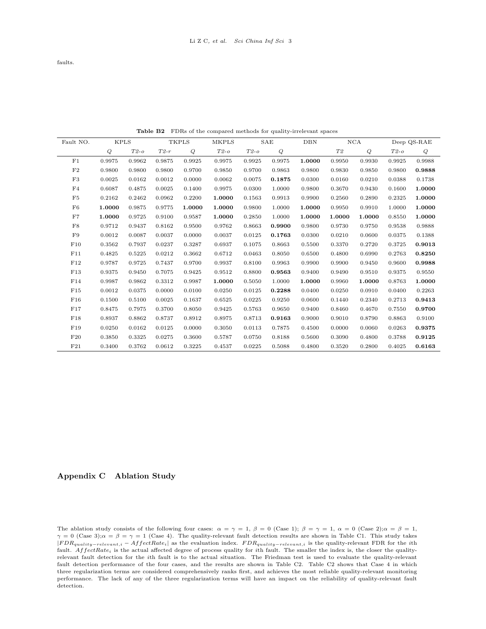faults.

Table B2 FDRs of the compared methods for quality-irrelevant spaces

| Fault NO.      | <b>KPLS</b> |        |        | <b>TKPLS</b> | <b>MKPLS</b> |        | SAE    | <b>DBN</b> | NCA    |        |        | Deep QS-RAE |
|----------------|-------------|--------|--------|--------------|--------------|--------|--------|------------|--------|--------|--------|-------------|
|                | Q           | $T2-o$ | $T2-r$ | Q            | $T2-o$       | $T2-o$ | Q      |            | T2     | Q      | $T2-o$ | Q           |
| F1             | 0.9975      | 0.9962 | 0.9875 | 0.9925       | 0.9975       | 0.9925 | 0.9975 | 1.0000     | 0.9950 | 0.9930 | 0.9925 | 0.9988      |
| F2             | 0.9800      | 0.9800 | 0.9800 | 0.9700       | 0.9850       | 0.9700 | 0.9863 | 0.9800     | 0.9830 | 0.9850 | 0.9800 | 0.9888      |
| F3             | 0.0025      | 0.0162 | 0.0012 | 0.0000       | 0.0062       | 0.0075 | 0.1875 | 0.0300     | 0.0160 | 0.0210 | 0.0388 | 0.1738      |
| F4             | 0.6087      | 0.4875 | 0.0025 | 0.1400       | 0.9975       | 0.0300 | 1.0000 | 0.9800     | 0.3670 | 0.9430 | 0.1600 | 1.0000      |
| F <sub>5</sub> | 0.2162      | 0.2462 | 0.0962 | 0.2200       | 1.0000       | 0.1563 | 0.9913 | 0.9900     | 0.2560 | 0.2890 | 0.2325 | 1.0000      |
| F6             | 1.0000      | 0.9875 | 0.9775 | 1.0000       | 1.0000       | 0.9800 | 1.0000 | 1.0000     | 0.9950 | 0.9910 | 1.0000 | 1.0000      |
| F7             | 1.0000      | 0.9725 | 0.9100 | 0.9587       | 1.0000       | 0.2850 | 1.0000 | 1.0000     | 1.0000 | 1.0000 | 0.8550 | 1.0000      |
| F8             | 0.9712      | 0.9437 | 0.8162 | 0.9500       | 0.9762       | 0.8663 | 0.9900 | 0.9800     | 0.9730 | 0.9750 | 0.9538 | 0.9888      |
| F9             | 0.0012      | 0.0087 | 0.0037 | 0.0000       | 0.0037       | 0.0125 | 0.1763 | 0.0300     | 0.0210 | 0.0600 | 0.0375 | 0.1388      |
| F10            | 0.3562      | 0.7937 | 0.0237 | 0.3287       | 0.6937       | 0.1075 | 0.8663 | 0.5500     | 0.3370 | 0.2720 | 0.3725 | 0.9013      |
| F11            | 0.4825      | 0.5225 | 0.0212 | 0.3662       | 0.6712       | 0.0463 | 0.8050 | 0.6500     | 0.4800 | 0.6990 | 0.2763 | 0.8250      |
| F12            | 0.9787      | 0.9725 | 0.7437 | 0.9700       | 0.9937       | 0.8100 | 0.9963 | 0.9900     | 0.9900 | 0.9450 | 0.9600 | 0.9988      |
| F13            | 0.9375      | 0.9450 | 0.7075 | 0.9425       | 0.9512       | 0.8800 | 0.9563 | 0.9400     | 0.9490 | 0.9510 | 0.9375 | 0.9550      |
| F14            | 0.9987      | 0.9862 | 0.3312 | 0.9987       | 1.0000       | 0.5050 | 1.0000 | 1.0000     | 0.9960 | 1.0000 | 0.8763 | 1.0000      |
| F15            | 0.0012      | 0.0375 | 0.0000 | 0.0100       | 0.0250       | 0.0125 | 0.2288 | 0.0400     | 0.0250 | 0.0910 | 0.0400 | 0.2263      |
| F16            | 0.1500      | 0.5100 | 0.0025 | 0.1637       | 0.6525       | 0.0225 | 0.9250 | 0.0600     | 0.1440 | 0.2340 | 0.2713 | 0.9413      |
| F17            | 0.8475      | 0.7975 | 0.3700 | 0.8050       | 0.9425       | 0.5763 | 0.9650 | 0.9400     | 0.8460 | 0.4670 | 0.7550 | 0.9700      |
| F18            | 0.8937      | 0.8862 | 0.8737 | 0.8912       | 0.8975       | 0.8713 | 0.9163 | 0.9000     | 0.9010 | 0.8790 | 0.8863 | 0.9100      |
| F19            | 0.0250      | 0.0162 | 0.0125 | 0.0000       | 0.3050       | 0.0113 | 0.7875 | 0.4500     | 0.0000 | 0.0060 | 0.0263 | 0.9375      |
| F20            | 0.3850      | 0.3325 | 0.0275 | 0.3600       | 0.5787       | 0.0750 | 0.8188 | 0.5600     | 0.3090 | 0.4800 | 0.3788 | 0.9125      |
| F21            | 0.3400      | 0.3762 | 0.0612 | 0.3225       | 0.4537       | 0.0225 | 0.5088 | 0.4800     | 0.3520 | 0.2800 | 0.4025 | 0.6163      |

## Appendix C Ablation Study

The ablation study consists of the following four cases:  $\alpha = \gamma = 1$ ,  $\beta = 0$  (Case 1);  $\beta = \gamma = 1$ ,  $\alpha = 0$  (Case 2);  $\alpha = \beta = 1$ ,  $\gamma = 0$  (Case 3); $\alpha = \beta = \gamma = 1$  (Case 4). The quality-relevant fault detection results are shown in Table C1. This study takes  $|FDR_{quality-relevant,i} - AfterRate_{i}|$  as the evaluation index.  $FDR_{quality-relevant,i}$  is the quality-relevant FDR for the ith fault.  $AfterRate_i$  is the actual affected degree of process quality for *i*th fault. The smaller the index is, the closer the qualityrelevant fault detection for the ith fault is to the actual situation. The Friedman test is used to evaluate the quality-relevant fault detection performance of the four cases, and the results are shown in Table C2. Table C2 shows that Case 4 in which three regularization terms are considered comprehensively ranks first, and achieves the most reliable quality-relevant monitoring performance. The lack of any of the three regularization terms will have an impact on the reliability of quality-relevant fault detection.